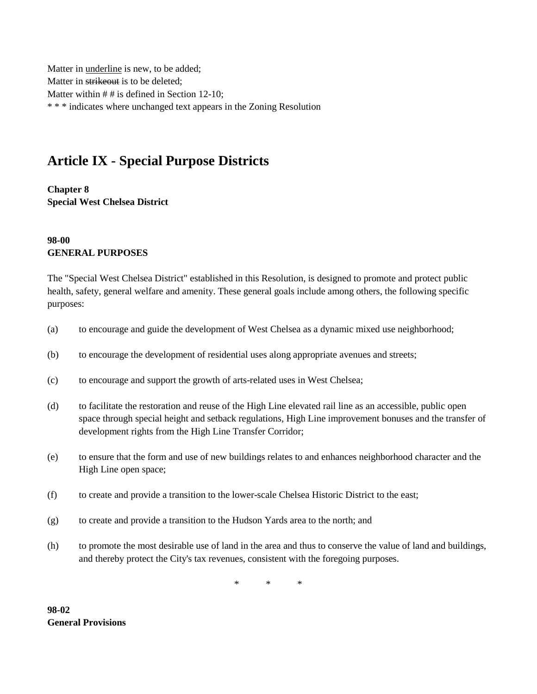Matter in underline is new, to be added; Matter in strikeout is to be deleted; Matter within # # is defined in Section 12-10; \* \* \* indicates where unchanged text appears in the Zoning Resolution

# **Article IX - Special Purpose Districts**

**Chapter 8 Special West Chelsea District**

### **98-00 GENERAL PURPOSES**

The "Special West Chelsea District" established in this Resolution, is designed to promote and protect public health, safety, general welfare and amenity. These general goals include among others, the following specific purposes:

- (a) to encourage and guide the development of West Chelsea as a dynamic mixed use neighborhood;
- (b) to encourage the development of residential uses along appropriate avenues and streets;
- (c) to encourage and support the growth of arts-related uses in West Chelsea;
- (d) to facilitate the restoration and reuse of the High Line elevated rail line as an accessible, public open space through special height and setback regulations, High Line improvement bonuses and the transfer of development rights from the High Line Transfer Corridor;
- (e) to ensure that the form and use of new buildings relates to and enhances neighborhood character and the High Line open space;
- (f) to create and provide a transition to the lower-scale Chelsea Historic District to the east;
- (g) to create and provide a transition to the Hudson Yards area to the north; and
- (h) to promote the most desirable use of land in the area and thus to conserve the value of land and buildings, and thereby protect the City's tax revenues, consistent with the foregoing purposes.

\* \* \*

**98-02 General Provisions**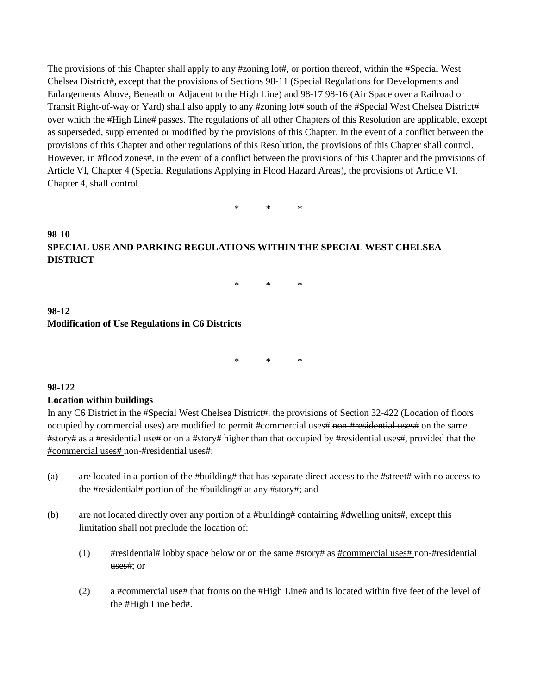The provisions of this Chapter shall apply to any #zoning lot#, or portion thereof, within the #Special West Chelsea District#, except that the provisions of Sections 98-11 (Special Regulations for Developments and Enlargements Above, Beneath or Adjacent to the High Line) and 98-17 98-16 (Air Space over a Railroad or Transit Right-of-way or Yard) shall also apply to any #zoning lot# south of the #Special West Chelsea District# over which the #High Line# passes. The regulations of all other Chapters of this Resolution are applicable, except as superseded, supplemented or modified by the provisions of this Chapter. In the event of a conflict between the provisions of this Chapter and other regulations of this Resolution, the provisions of this Chapter shall control. However, in #flood zones#, in the event of a conflict between the provisions of this Chapter and the provisions of Article VI, Chapter 4 (Special Regulations Applying in Flood Hazard Areas), the provisions of Article VI, Chapter 4, shall control.

\* \* \*

# **98-10 SPECIAL USE AND PARKING REGULATIONS WITHIN THE SPECIAL WEST CHELSEA DISTRICT**

\* \* \*

## **98-12 Modification of Use Regulations in C6 Districts**

\* \* \*

#### **98-122**

#### **Location within buildings**

In any C6 District in the #Special West Chelsea District#, the provisions of Section 32-422 (Location of floors occupied by commercial uses) are modified to permit #commercial uses# non-#residential uses# on the same #story# as a #residential use# or on a #story# higher than that occupied by #residential uses#, provided that the #commercial uses# non-#residential uses#:

- (a) are located in a portion of the #building# that has separate direct access to the #street# with no access to the #residential# portion of the #building# at any #story#; and
- (b) are not located directly over any portion of a #building# containing #dwelling units#, except this limitation shall not preclude the location of:
	- (1)  $\#$ residential# lobby space below or on the same #story# as  $\#$ commercial uses $\#$  non-#residential uses#; or
	- (2) a #commercial use# that fronts on the #High Line# and is located within five feet of the level of the #High Line bed#.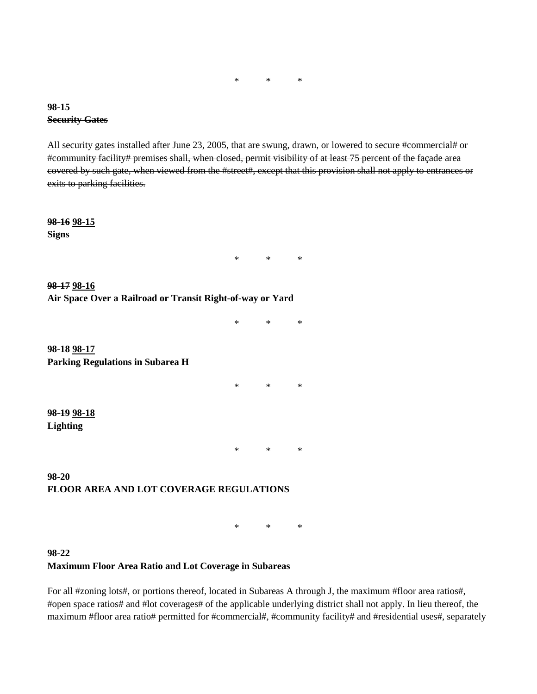\* \* \*

#### **98-15 Security Gates**

All security gates installed after June 23, 2005, that are swung, drawn, or lowered to secure #commercial# or #community facility# premises shall, when closed, permit visibility of at least 75 percent of the façade area covered by such gate, when viewed from the #street#, except that this provision shall not apply to entrances or exits to parking facilities.

**98-16 98-15 Signs**

\* \* \*

**98-17 98-16 Air Space Over a Railroad or Transit Right-of-way or Yard**

\* \* \*

**98-18 98-17 Parking Regulations in Subarea H**

\* \* \*

**98-19 98-18 Lighting**

\* \* \*

**98-20 FLOOR AREA AND LOT COVERAGE REGULATIONS**

\* \* \*

**98-22 Maximum Floor Area Ratio and Lot Coverage in Subareas**

For all #zoning lots#, or portions thereof, located in Subareas A through J, the maximum #floor area ratios#, #open space ratios# and #lot coverages# of the applicable underlying district shall not apply. In lieu thereof, the maximum #floor area ratio# permitted for #commercial#, #community facility# and #residential uses#, separately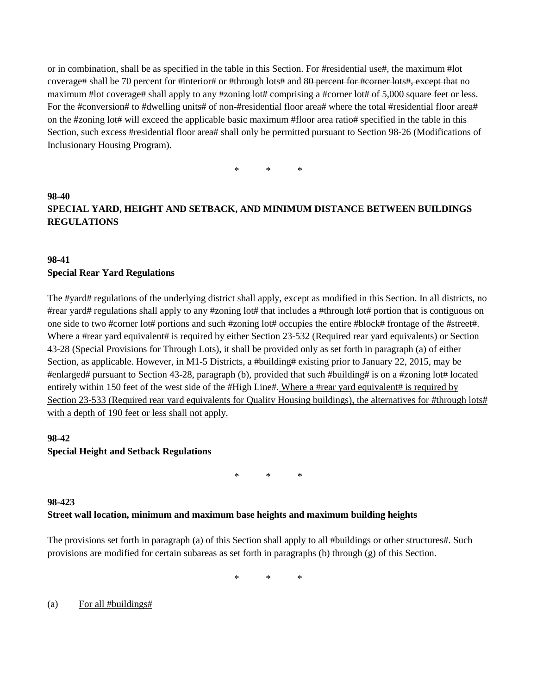or in combination, shall be as specified in the table in this Section. For #residential use#, the maximum #lot coverage# shall be 70 percent for #interior# or #through lots# and 80 percent for #corner lots#, except that no maximum #lot coverage# shall apply to any #zoning lot# comprising a #corner lot# of 5,000 square feet or less. For the #conversion# to #dwelling units# of non-#residential floor area# where the total #residential floor area# on the #zoning lot# will exceed the applicable basic maximum #floor area ratio# specified in the table in this Section, such excess #residential floor area# shall only be permitted pursuant to Section 98-26 (Modifications of Inclusionary Housing Program).

\* \* \*

# **98-40 SPECIAL YARD, HEIGHT AND SETBACK, AND MINIMUM DISTANCE BETWEEN BUILDINGS REGULATIONS**

# **98-41 Special Rear Yard Regulations**

The #yard# regulations of the underlying district shall apply, except as modified in this Section. In all districts, no #rear yard# regulations shall apply to any #zoning lot# that includes a #through lot# portion that is contiguous on one side to two #corner lot# portions and such #zoning lot# occupies the entire #block# frontage of the #street#. Where a #rear yard equivalent# is required by either Section 23-532 (Required rear yard equivalents) or Section 43-28 (Special Provisions for Through Lots), it shall be provided only as set forth in paragraph (a) of either Section, as applicable. However, in M1-5 Districts, a #building# existing prior to January 22, 2015, may be #enlarged# pursuant to Section 43-28, paragraph (b), provided that such #building# is on a #zoning lot# located entirely within 150 feet of the west side of the #High Line#. Where a #rear yard equivalent# is required by Section 23-533 (Required rear yard equivalents for Quality Housing buildings), the alternatives for #through lots# with a depth of 190 feet or less shall not apply.

### **98-42**

#### **Special Height and Setback Regulations**

\* \* \*

# **98-423 Street wall location, minimum and maximum base heights and maximum building heights**

The provisions set forth in paragraph (a) of this Section shall apply to all #buildings or other structures#. Such provisions are modified for certain subareas as set forth in paragraphs (b) through (g) of this Section.

\* \* \*

(a) For all #buildings#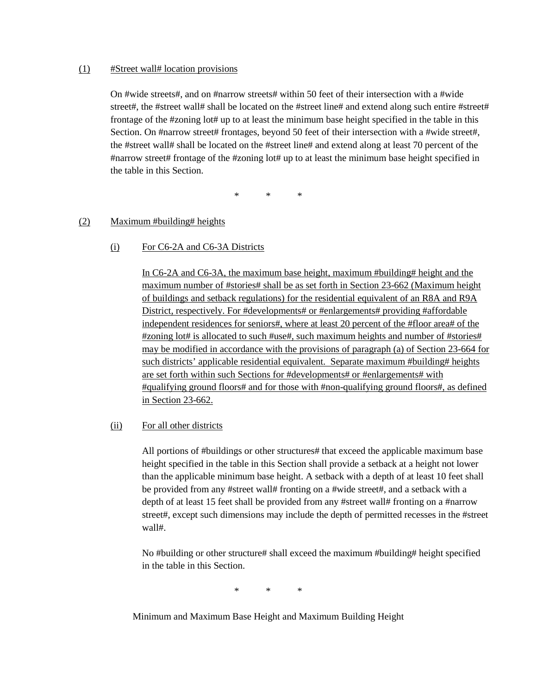#### (1) #Street wall# location provisions

On #wide streets#, and on #narrow streets# within 50 feet of their intersection with a #wide street#, the #street wall# shall be located on the #street line# and extend along such entire #street# frontage of the #zoning lot# up to at least the minimum base height specified in the table in this Section. On #narrow street# frontages, beyond 50 feet of their intersection with a #wide street#, the #street wall# shall be located on the #street line# and extend along at least 70 percent of the #narrow street# frontage of the #zoning lot# up to at least the minimum base height specified in the table in this Section.

\* \* \*

#### (2) Maximum #building# heights

(i) For C6-2A and C6-3A Districts

In C6-2A and C6-3A, the maximum base height, maximum #building# height and the maximum number of #stories# shall be as set forth in Section 23-662 (Maximum height of buildings and setback regulations) for the residential equivalent of an R8A and R9A District, respectively. For #developments# or #enlargements# providing #affordable independent residences for seniors#, where at least 20 percent of the #floor area# of the #zoning lot# is allocated to such #use#, such maximum heights and number of #stories# may be modified in accordance with the provisions of paragraph (a) of Section 23-664 for such districts' applicable residential equivalent. Separate maximum #building# heights are set forth within such Sections for #developments# or #enlargements# with #qualifying ground floors# and for those with #non-qualifying ground floors#, as defined in Section 23-662.

#### (ii) For all other districts

All portions of #buildings or other structures# that exceed the applicable maximum base height specified in the table in this Section shall provide a setback at a height not lower than the applicable minimum base height. A setback with a depth of at least 10 feet shall be provided from any #street wall# fronting on a #wide street#, and a setback with a depth of at least 15 feet shall be provided from any #street wall# fronting on a #narrow street#, except such dimensions may include the depth of permitted recesses in the #street wall#.

No #building or other structure# shall exceed the maximum #building# height specified in the table in this Section.

\* \* \*

Minimum and Maximum Base Height and Maximum Building Height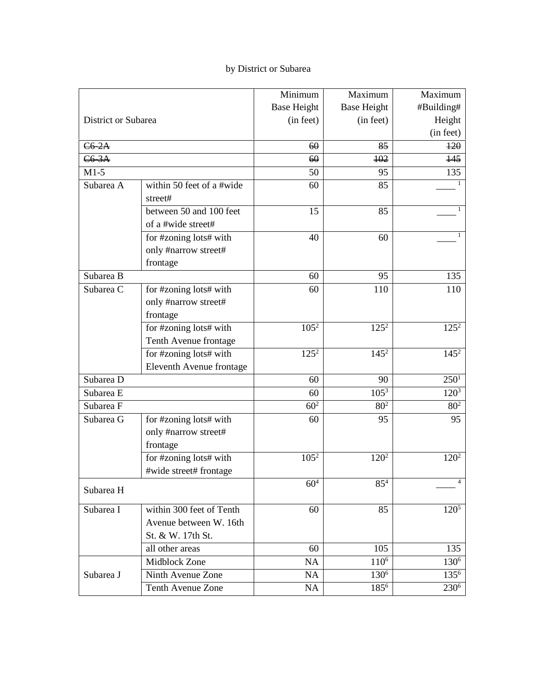# by District or Subarea

|                     |                           | Minimum            | Maximum            | Maximum          |
|---------------------|---------------------------|--------------------|--------------------|------------------|
|                     |                           | <b>Base Height</b> | <b>Base Height</b> | #Building#       |
| District or Subarea |                           | (in feet)          | (in feet)          | Height           |
|                     |                           |                    |                    | (in feet)        |
| $C6-2A$             |                           | 60                 | 85                 | 120              |
| $C6-3A$             |                           | 60                 | 102                | 145              |
| $M1-5$              |                           | 50                 | 95                 | 135              |
| Subarea A           | within 50 feet of a #wide | 60                 | 85                 | 1                |
|                     | street#                   |                    |                    |                  |
|                     | between 50 and 100 feet   | 15                 | 85                 | 1                |
|                     | of a #wide street#        |                    |                    |                  |
|                     | for #zoning lots# with    | 40                 | 60                 | 1                |
|                     | only #narrow street#      |                    |                    |                  |
|                     | frontage                  |                    |                    |                  |
| Subarea B           |                           | 60                 | 95                 | 135              |
| Subarea C           | for #zoning lots# with    | 60                 | 110                | 110              |
|                     | only #narrow street#      |                    |                    |                  |
|                     | frontage                  |                    |                    |                  |
|                     | for #zoning lots# with    | $105^2$            | $125^2$            | $125^2$          |
|                     | Tenth Avenue frontage     |                    |                    |                  |
|                     | for #zoning lots# with    | $125^{2}$          | $145^2$            | $145^2$          |
|                     | Eleventh Avenue frontage  |                    |                    |                  |
| Subarea D           |                           | 60                 | 90                 | $250^1$          |
| Subarea E           |                           | 60                 | $105^3$            | $120^{3}$        |
| Subarea F           |                           | 60 <sup>2</sup>    | 80 <sup>2</sup>    | 80 <sup>2</sup>  |
| Subarea G           | for #zoning lots# with    | 60                 | 95                 | 95               |
|                     | only #narrow street#      |                    |                    |                  |
|                     | frontage                  |                    |                    |                  |
|                     | for #zoning lots# with    | $105^{2}$          | $120^2$            | $120^2$          |
|                     | #wide street# frontage    |                    |                    |                  |
| Subarea H           |                           | $60^{4}$           | $85^{\bar{4}}$     | 4                |
| Subarea I           | within 300 feet of Tenth  | 60                 | 85                 | $120^5$          |
|                     | Avenue between W. 16th    |                    |                    |                  |
|                     | St. & W. 17th St.         |                    |                    |                  |
|                     | all other areas           | 60                 | 105                | 135              |
|                     | Midblock Zone             | <b>NA</b>          | $110^{6}$          | 130 <sup>6</sup> |
| Subarea J           | Ninth Avenue Zone         | <b>NA</b>          | 130 <sup>6</sup>   | 135 <sup>6</sup> |
|                     | <b>Tenth Avenue Zone</b>  | <b>NA</b>          | 1856               | 230 <sup>6</sup> |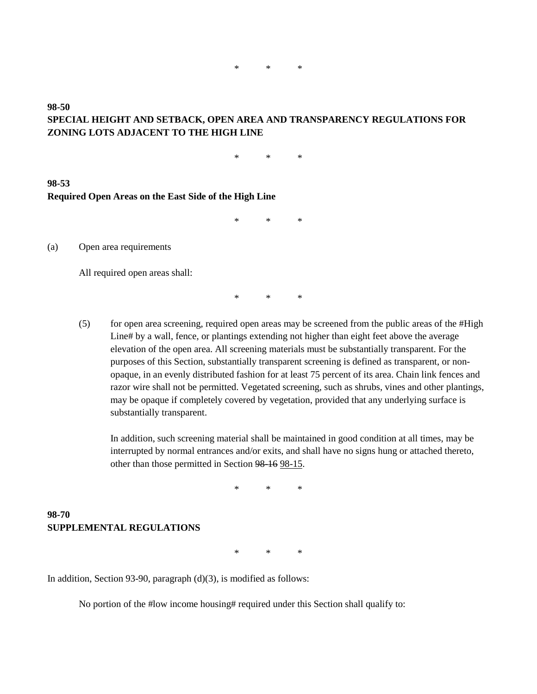# **98-50 SPECIAL HEIGHT AND SETBACK, OPEN AREA AND TRANSPARENCY REGULATIONS FOR ZONING LOTS ADJACENT TO THE HIGH LINE**

\* \* \*

#### **98-53 Required Open Areas on the East Side of the High Line**

\* \* \*

(a) Open area requirements

All required open areas shall:

\* \* \*

(5) for open area screening, required open areas may be screened from the public areas of the #High Line# by a wall, fence, or plantings extending not higher than eight feet above the average elevation of the open area. All screening materials must be substantially transparent. For the purposes of this Section, substantially transparent screening is defined as transparent, or nonopaque, in an evenly distributed fashion for at least 75 percent of its area. Chain link fences and razor wire shall not be permitted. Vegetated screening, such as shrubs, vines and other plantings, may be opaque if completely covered by vegetation, provided that any underlying surface is substantially transparent.

In addition, such screening material shall be maintained in good condition at all times, may be interrupted by normal entrances and/or exits, and shall have no signs hung or attached thereto, other than those permitted in Section 98-16 98-15.

\* \* \*

### **98-70 SUPPLEMENTAL REGULATIONS**

\* \* \*

In addition, Section 93-90, paragraph (d)(3), is modified as follows:

No portion of the #low income housing# required under this Section shall qualify to: